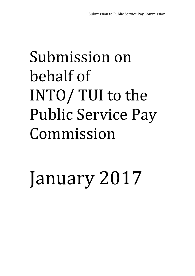# Submission on behalf of INTO/ TUI to the Public Service Pay Commission

January 2017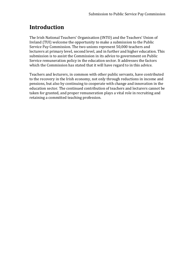## **Introduction**

The Irish National Teachers' Organisation (INTO) and the Teachers' Union of Ireland (TUI) welcome the opportunity to make a submission to the Public Service Pay Commission. The two unions represent 50,000 teachers and lecturers at primary level, second level, and in further and higher education. This submission is to assist the Commission in its advice to government on Public Service remuneration policy in the education sector. It addresses the factors which the Commission has stated that it will have regard to in this advice.

Teachers and lecturers, in common with other public servants, have contributed to the recovery in the Irish economy, not only through reductions in income and pensions, but also by continuing to cooperate with change and innovation in the education sector. The continued contribution of teachers and lecturers cannot be taken for granted, and proper remuneration plays a vital role in recruiting and retaining a committed teaching profession.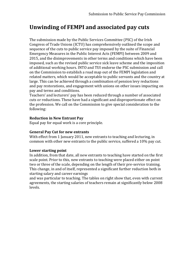# **Unwinding of FEMPI and associated pay cuts**

The submission made by the Public Services Committee (PSC) of the Irish Congress of Trade Unions (ICTU) has comprehensively outlined the scope and sequence of the cuts to public service pay imposed by the suite of Financial Emergency Measures in the Public Interest Acts (FEMPI) between 2009 and 2015, and the disimprovements in other terms and conditions which have been imposed, such as the revised public service sick leave scheme and the imposition of additional working hours. INTO and TUI endorse the PSC submission and call on the Commission to establish a road map out of the FEMPI legislation and related matters, which would be acceptable to public servants and the country at large. This can be achieved through a combination of pension levy reductions and pay restorations, and engagement with unions on other issues impacting on pay and terms and conditions.

Teachers' and lecturers' pay has been reduced through a number of associated cuts or reductions. These have had a significant and disproportionate effect on the profession. We call on the Commission to give special consideration to the following:

### **Reduction in New Entrant Pay**

Equal pay for equal work is a core principle.

### **General Pay Cut for new entrants**

With effect from 1 January 2011, new entrants to teaching and lecturing, in common with other new entrants to the public service, suffered a 10% pay cut.

### **Lower starting point**

In addition, from that date, all new entrants to teaching have started on the first scale point. Prior to this, new entrants to teaching were placed either on point two or three of the scale, depending on the length of their pre-service training. This change, in and of itself, represented a significant further reduction both in starting salary and career earnings

and was particular to teaching. The tables on right show that, even with current agreements, the starting salaries of teachers remain at significantly below 2008 levels.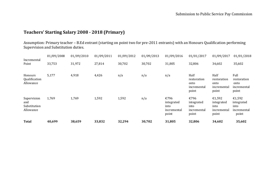## **Teachers' Starting Salary 2008 - 2018 (Primary)**

Assumption: Primary teacher – B.Ed entrant (starting on point two for pre-2011 entrants) with an Honours Qualification performing Supervision and Substitution duties.

| <b>Total</b>                                    | 40,699     | 38,659     | 33,832     | 32,294     | 30,702     | 31,805                                             | 32,806                                              | 34,602                                               | 35,602                                               |
|-------------------------------------------------|------------|------------|------------|------------|------------|----------------------------------------------------|-----------------------------------------------------|------------------------------------------------------|------------------------------------------------------|
| Supervision<br>and<br>Substitution<br>Allowance | 1,769      | 1,769      | 1,592      | 1,592      | n/a        | €796<br>integrated<br>into<br>incremental<br>point | €796<br>integrated<br>into<br>incremental<br>point  | €1,592<br>integrated<br>into<br>incremental<br>point | €1,592<br>integrated<br>into<br>incremental<br>point |
| Honours<br>Qualification<br>Allowance           | 5,177      | 4,918      | 4,426      | n/a        | n/a        | n/a                                                | Half<br>restoration<br>onto<br>incremental<br>point | Half<br>restoration<br>onto<br>incremental<br>point  | Full<br>restoration<br>onto<br>incremental<br>point  |
| Incremental<br>Point                            | 33,753     | 31,972     | 27,814     | 30,702     | 30,702     | 31,805                                             | 32,806                                              | 34,602                                               | 35,602                                               |
|                                                 | 01/09/2008 | 01/09/2010 | 01/09/2011 | 01/09/2012 | 01/09/2013 | 01/09/2016                                         | 01/01/2017                                          | 01/09/2017                                           | 01/01/2018                                           |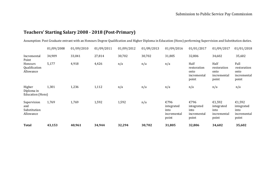## **Teachers' Starting Salary 2008 - 2018 (Post-Primary)**

Assumption: Post Graduate entrant with an Honours Degree Qualification and Higher Diploma in Education (Hons) performing Supervision and Substitution duties.

|                                                 | 01/09/2008 | 01/09/2010 | 01/09/2011 | 01/09/2012 | 01/09/2013 | 01/09/2016                                         | 01/01/2017                                          | 01/09/2017                                           | 01/01/2018                                           |
|-------------------------------------------------|------------|------------|------------|------------|------------|----------------------------------------------------|-----------------------------------------------------|------------------------------------------------------|------------------------------------------------------|
| Incremental<br>Point                            | 34,909     | 33,041     | 27,814     | 30,702     | 30,702     | 31,805                                             | 32,806                                              | 34,602                                               | 35,602                                               |
| Honours<br>Qualification<br>Allowance           | 5,177      | 4,918      | 4,426      | n/a        | n/a        | n/a                                                | Half<br>restoration<br>onto<br>incremental<br>point | Half<br>restoration<br>onto<br>incremental<br>point  | Full<br>restoration<br>onto<br>incremental<br>point  |
| Higher<br>Diploma in<br>Education (Hons)        | 1,301      | 1,236      | 1,112      | n/a        | n/a        | n/a                                                | n/a                                                 | n/a                                                  | n/a                                                  |
| Supervision<br>and<br>Substitution<br>Allowance | 1,769      | 1,769      | 1,592      | 1,592      | n/a        | €796<br>integrated<br>into<br>incremental<br>point | €796<br>integrated<br>into<br>incremental<br>point  | €1,592<br>integrated<br>into<br>incremental<br>point | €1,592<br>integrated<br>into<br>incremental<br>point |
| <b>Total</b>                                    | 43,153     | 40,961     | 34,944     | 32,294     | 30,702     | 31,805                                             | 32,806                                              | 34,602                                               | 35,602                                               |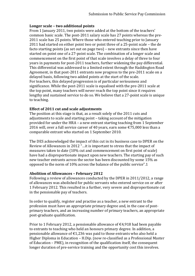#### **Longer scale – two additional points**

From 1 January 2011, two points were added at the bottom of the teachers' common basic scale. The post-2011 salary scale has 27 points whereas the pre-2011 scale has 25 points. Where those who entered teaching prior to January 2011 had started on either point two or point three of a 25-point scale – the de facto starting points (as set out on page two) – new entrants since then have started on point one of a 27-point scale. The combination of a longer scale and commencement on the first point of that scale involves a delay of three to four years in payments for post-2011 teachers, further widening the pay differential. This differential was addressed to a limited extent through the Haddington Road Agreement, in that post-2011 entrants now progress to the pre-2011 scale on a delayed basis, following two added points at the start of the scale. For teachers, this delayed progression is of particular seriousness and significance. While the post-2011 scale is equalised with the pre-2011 scale at the top point, many teachers will never reach the top point since it requires lengthy and sustained service to do so. We believe that a 27-point scale is unique to teaching.

### **Effect of 2011 cut and scale adjustments**

The position at this stage is that, as a result solely of the 2011 cuts and adjustments to scale and starting point – taking account of the mitigation provided for under the HRA – a new entrant starting teaching from 1 September 2016 will, over a full service career of 40 years, earn some  $\epsilon$ 75,000 less than a comparable entrant who started on 1 September 2010.

The DES acknowledged the impact of this cut in its business case to DPER on the Review of Allowances in 2012 "…it is important to stress that the impact of measures taken to date (10% cut and commencement on first point of scale) have had a disproportionate impact upon new teachers. The starting pay of such new teacher entrants across the sector has been discounted by some 15% as opposed to the norm of 10% across the balance of the public service".1

### **Abolition of Allowances – February 2012**

Following a review of allowances conducted by the DPER in 2011/2012, a range of allowances was abolished for public servants who entered service on or after 1 February 2012. This resulted in a further, very severe and disproportionate cut in the pensionable pay of teachers.

In order to qualify, register and practise as a teacher, a new entrant to the profession must have an appropriate primary degree and, in the case of postprimary teachers, and an increasing number of primary teachers, an appropriate post-graduate qualification.

Prior to 1 February 2012, a pensionable allowance of  $\epsilon$ 4,918 had been payable to entrants to teaching who held an honours primary degree. In addition, a pensionable allowance of  $\epsilon$ 1,236 was paid to those entrants who also held a Higher Diploma in Education – H.Dip. (now re-classified as a Professional Master of Education – PME), in recognition of the qualification itself, the consequent longer duration of pre-service training and the opportunity cost this involves.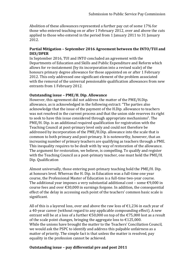Abolition of these allowances represented a further pay cut of some 17% for those who entered teaching on or after 1 February 2012, over and above the cuts applied to those who entered in the period from 1 January 2011 to 31 January 2012.

### **Partial Mitigation – September 2016 Agreement between the INTO/TUI and DES/DPER**

In September 2016, TUI and INTO concluded an agreement with the Departments of Education and Skills and Public Expenditure and Reform which allows for re-instatement (by its incorporation into a revised scale) of the honours primary degree allowance for those appointed on or after 1 February 2012. This only addressed one significant element of the problem associated with the removal of the universal pensionable qualification allowances from new entrants from 1 February 2012.

## **Outstanding issue – PME/H. Dip. Allowance**

However, this agreement did not address the matter of the PME/H.Dip. allowance, as is acknowledged in the following extract: "The parties also acknowledge that the issue of the payment of the H.Dip. allowance to teachers was not resolved in the current process and that the union side reserves its right to seek to have this issue considered through appropriate mechanisms". The PME/H. Dip. is an additional required qualification for registration with the Teaching Council at post-primary level only and could not therefore be addressed by incorporation of the PME/H.Dip. allowance into the scale that is common to both primary and post-primary. It is noteworthy, however, that an increasing number of primary teachers are qualifying as teachers through a PME. This inequality requires to be dealt with by way of restoration of the allowance. The argument for restoration, we believe, is compelling. To qualify and register with the Teaching Council as a post-primary teacher, one must hold the PME/H. Dip. Qualification

Almost universally, those entering post-primary teaching hold the PME/H. Dip. at honours level. Whereas the H. Dip. in Education was a full-time one year course, the Professional Master of Education is a full-time two-year course. The additional year imposes a very substantial additional cost – some  $\epsilon$ 9,000 in course fees and over  $\epsilon$ 30,000 in earnings forgone. In addition, the consequential effect of the delay in accessing each point of the teachers' common basic scale is significant.

All of this is a layered loss, over and above the raw loss of  $\epsilon$ 1,236 in each year of a 40-year career (without regard to any applicable compounding effect). A new entrant will be at a loss of a further €50,000 on top of the €75,000 lost as a result of the scale point changes, bringing the aggregate loss to  $\text{\textsterling}125,000$ . While the unions have brought the matter to the Teachers' Conciliation Council, we would ask the PSPC to identify and address this palpable unfairness as a matter of priority. The simple fact is that unless the matter is resolved, pay equality in the profession cannot be achieved.

### **Outstanding issue – pay differential pre and post 2011**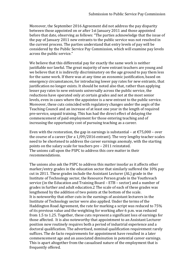Moreover, the September 2016 Agreement did not address the pay disparity between those appointed on or after 1st January 2011 and those appointed before that date, observing as follows: "The parties acknowledge that the issue of the pay of January 2011 new entrants to the public service was not resolved in the current process. The parties understand that entry levels of pay will be considered by the Public Service Pay Commission, which will examine pay levels across the public service."

We believe that this differential pay for exactly the same work is neither justifiable nor lawful. The great majority of new entrant teachers are young and we believe that it is indirectly discriminatory on the age ground to pay them less for the same work. If there was at any time an economic justification, based on emergency circumstances, for introducing lower pay rates for new entrants, that justification no longer exists. It should be noted also that, rather than applying lesser pay rates to new entrants universally across the public service, the reductions have operated only at certain grades and not at the most senior levels, even in cases where the appointee is a new entrant to the public service. Moreover, these cuts coincided with regulatory changes under the aegis of the Teaching Council and an increase of at least one year in the length of required pre-service, unpaid training. This has had the direct effect of delaying the commencement of paid employment for those entering teaching and of increasing the opportunity cost of pursuing teaching as a career.

Even with the restoration, the gap in earnings is substantial – at  $\epsilon$ 75,000 – over the course of a career (for a 1/09/2016 entrant). The very lengthy teacher scales need to be shortened to address the career earnings anomaly, with the starting points on the salary scale for teachers pre – 2011 reinstated. The unions call upon the PSPC to address this core matter in their recommendations.

The unions also ask the PSPC to address this matter insofar as it affects other marker/entry grades in the education sector that similarly suffered the 10% pay cut in 2011. These grades include the Assistant Lecturer (AL) grade in the Institute of Technology sector, the Resource Person grade in the Youthreach service (in the Education and Training Board – ETB – sector) and a number of grades in further and adult education.2 The scale of each of these grades was lengthened by the addition of two points at the bottom of the scale. It is noteworthy that other cuts in the earnings of assistant lecturers in the Institute of Technology sector were also applied. Under the terms of the Haddington Road Agreement, the rate for marking a script was reduced to 75% of its previous value and the weighting for working after 6 p.m. was reduced from 1.5 to 1.25. Together, these cuts represent a significant loss of earnings for those affected. It is also noteworthy that appointment to an Assistant Lecturer position now routinely requires both a period of industrial experience and a doctoral qualification. The advertised, nominal qualification requirement rarely suffices. The de facto requirements for appointment have resulted in a later commencement age and an associated diminution in potential career earnings. This is apart altogether from the casualised nature of the employment that is frequently offered.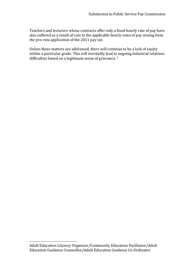Teachers and lecturers whose contracts offer only a fixed hourly rate of pay have also suffered as a result of cuts to the applicable hourly rates of pay arising from the pro-rata application of the 2011 pay cut.

Unless these matters are addressed, there will continue to be a lack of equity within a particular grade. This will inevitably lead to ongoing industrial relations difficulties based on a legitimate sense of grievance.<sup>1</sup>

 $\overline{a}$ 

Adult Education Literacy Organiser/Community Education Facilitator/Adult Education Guidance Counsellor/Adult Education Guidance Co-Ordinator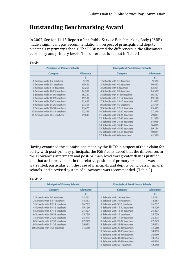## **Outstanding Benchmarking Award**

In 2007, Section 14.15 Report of the Public Service Benchmarking Body (PSBB) made a significant pay recommendation in respect of principals and deputy principals in primary schools. The PSBB noted the differences in the allowances at primary and primary levels. This difference is set out in Table 1

|--|--|

| <b>Principals of Primary Schools</b> |        | <b>Principals of Post-Primary Schools</b> |           |  |  |
|--------------------------------------|--------|-------------------------------------------|-----------|--|--|
| Allowance<br>Category                |        | Category                                  | Allowance |  |  |
|                                      | €      |                                           | €         |  |  |
| 1 Schools with 1-5 teachers          | 9,328  | 1 Schools with 1-3 teachers               | 9,328     |  |  |
| 2 Schools with 6-7 teachers          | 10,452 | 2 Schools with 4-5 teachers               | 10,452    |  |  |
| 3 Schools with 8-11 teachers         | 12,261 | 3 Schools with 6 teachers                 | 12,261    |  |  |
| 4 Schools with 12-13 teachers        | 14,387 | 4 Schools with 7-8 teachers               | 14,387    |  |  |
| 5 Schools with 14-16 teachers        | 16,737 | 5 Schools with 9 -10 teachers             | 16,737    |  |  |
| 6 Schools with 17-19 teachers        | 19,120 | 6 Schools with 11-12 teachers             | 19,120    |  |  |
| 7 Schools with 20-23 teachers        | 21,427 | 7 Schools with 13-15 teachers             | 21,427    |  |  |
| 8 Schools with 24-26 teachers        | 23,759 | 8 Schools with 16 teachers                | 23,759    |  |  |
| 9 Schools with 27-30 teachers        | 25,475 | 9 Schools with 17-19 teachers             | 25,475    |  |  |
| 10 Schools with 31-35 teachers       | 27,249 | 10 Schools with 20-22 teachers            | 27,249    |  |  |
| 11 Schools with 36+ teachers         | 29,833 | Schools with 23-26 teachers<br>11.        | 29,833    |  |  |
|                                      |        | 12 Schools with 27-30 teachers            | 31,580    |  |  |
|                                      |        | 13 Schools with 31-35 teachers            | 34,959    |  |  |
|                                      |        | 14 Schools with 36-40 teachers            | 36,099    |  |  |
|                                      |        | 15 Schools with 41-50 teachers            | 39,154    |  |  |
|                                      |        | 16 Schools with 51-59 teachers            | 40,854    |  |  |
|                                      |        | 17 Schools with 60+ teachers              | 42,550    |  |  |

Having examined the submissions made by the INTO in respect of their claim for parity with post-primary principals, the PSBB considered that the differences in the allowances at primary and post-primary level was greater than is justified and that an improvement in the relative position of primary principals was warranted, particularly in the case of principals and deputy principals in smaller schools, and a revised system of allowances was recommended. (Table 2)

#### Table 2

| <b>Principals of Primary Schools</b> |           | <b>Principals of Post-Primary Schools</b> |           |  |
|--------------------------------------|-----------|-------------------------------------------|-----------|--|
| Category                             | Allowance | Category                                  | Allowance |  |
|                                      | €         |                                           | €         |  |
| 1 Schools with 1-7 teachers          | 12,261    | 1 Schools with 1-6 teachers               | 12,261    |  |
| 2 Schools with 8-11 teachers         | 14,387    | 2 Schools with 7-8 teachers               | 14,387    |  |
| 3 Schools with 12-13 teachers        | 16,737    | 3 Schools with 9-10 teachers              | 16,737    |  |
| 4 Schools with 14-16 teachers        | 19,120    | 4 Schools with 11-12 teachers             | 19,120    |  |
| 5 Schools with 17-19 teachers        | 21,427    | 5 Schools with 13-15 teachers             | 21,427    |  |
| 6 Schools with 20-23 teachers        | 23,759    | 6 Schools with 16 teachers                | 23,759    |  |
| 7 Schools with 24-26 teachers        | 25,475    | 7 Schools with 17-19 teachers             | 25,475    |  |
| 8 Schools with 27-30 teachers        | 27,249    | 8 Schools with 20-22 teachers             | 27,249    |  |
| 9 Schools with 31-35 teachers        | 29,833    | 9 Schools with 23-26 teachers             | 29,833    |  |
| 10 Schools with 36+ teachers         | 31,580    | 10 Schools with 27-30 teachers            | 31,580    |  |
|                                      |           | 11 Schools with 31-35 teachers            | 34,959    |  |
|                                      |           | 12 Schools with 36-40 teachers            | 36,099    |  |
|                                      |           | 13 Schools with 41-50 teachers            | 39,154    |  |
|                                      |           | 14 Schools with 51-59 teachers            | 40,854    |  |
|                                      |           | 15 Schools with 60+ teachers              | 42,550    |  |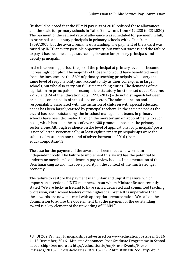(It should be noted that the FEMPI pay cuts of 2010 reduced these allowances and the scale for primary schools in Table 2 now runs from  $\text{\textsterling}12,238$  to  $\text{\textsterling}31,520$ ) The payment of the revised rate of allowance was scheduled for payment in full, to principals and deputy principals in primary schools with effect from 1/09/2008, but the award remains outstanding. The payment of the award was raised by INTO at every possible opportunity, but without success and the failure to pay it has become a huge source of grievance for primary principals and deputy principals.

In the intervening period, the job of the principal at primary level has become increasingly complex. The majority of those who would have benefitted most from the increase are the 56% of primary teaching principals, who carry the same level of responsibility and accountability as their colleagues in larger schools, but who also carry out full-time teaching duties. The demands of the legislation on principals – for example the statutory functions set out at Sections 22, 23 and 24 of the Education Acts (1998-2012) – do not distinguish between principals on the basis of school size or sector. The administration and responsibility associated with the inclusion of children with special education needs has been largely carried by principal teachers. In the same period as the award has been outstanding, the in-school management teams in primary schools have been decimated through the moratorium on appointments to such posts, which has seen the loss of over 4,600 promoted posts in the primary sector alone. Although evidence on the level of applications for principals' posts is not collected systematically, at least eight primary principalships were the subject of more than one round of advertisement in 2016 (from educationposts.ie).3

The case for the payment of the award has been made and won at an independent body. The failure to implement this award has the potential to undermine members' confidence in pay review bodies. Implementation of the Benchmarking award must be a priority in the context of the much stronger economy.

The failure to restore the payment is an unfair and unjust measure, which impacts on a section of INTO members, about whom Minister Bruton recently stated "We are lucky in Ireland to have such a dedicated and committed teaching profession, with school leaders of the highest calibre".4 It is imperative that these words are now matched with appropriate remuneration. We call on the Commission to advise the Government that the payment of the outstanding award is a key element of the unwinding of FEMPI.<sup>2</sup>

 $\overline{a}$ 

<sup>2</sup> 3 Of 202 Primary Principalships advertised on www.educationposts.ie in 2016 4 12 December, 2016 - Minister Announces Post Graduate Programme in School Leadership - See more at: http://education.ie/en/Press-Events/Press-Releases/2016- Press-Releases/PR2016-12-12.html#sthash.2oqKfxq9.dpuf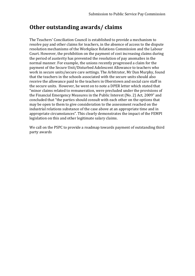## **Other outstanding awards/ claims**

The Teachers' Conciliation Council is established to provide a mechanism to resolve pay and other claims for teachers, in the absence of access to the dispute resolution mechanisms of the Workplace Relations Commission and the Labour Court. However, the prohibition on the payment of cost increasing claims during the period of austerity has prevented the resolution of pay anomalies in the normal manner. For example, the unions recently progressed a claim for the payment of the Secure Unit/Disturbed Adolescent Allowance to teachers who work in secure units/secure care settings. The Arbitrator, Mr Dan Murphy, found that the teachers in the schools associated with the secure units should also receive the allowance paid to the teachers in Oberstown and social care staff in the secure units. However, he went on to note a DPER letter which stated that "minor claims related to remuneration, were precluded under the provisions of the Financial Emergency Measures in the Public Interest (No. 2) Act, 2009" and concluded that "the parties should consult with each other on the options that may be open to them to give consideration to the assessment reached on the industrial relations substance of the case above at an appropriate time and in appropriate circumstances". This clearly demonstrates the impact of the FEMPI legislation on this and other legitimate salary claims.

We call on the PSPC to provide a roadmap towards payment of outstanding third party awards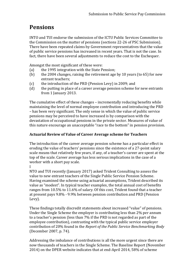# **Pensions**

INTO and TUI endorse the submission of the ICTU Public Services Committee to the Commission on the matter of pensions (sections 22-26 of PSC Submission). There have been repeated claims by Government representatives that the value of public service pensions has increased in recent years. That is not the case. In fact, there have been several adjustments to reduce the cost to the Exchequer.

Amongst the most significant of these were:

- (a) the 1995 integration with the State Pension;
- (b) the 2004 changes, raising the retirement age by 10 years (to 65) for new entrant teachers;
- (c) the introduction of the PRD (Pension Levy) in 2009; and
- (d) the putting in place of a career average pension scheme for new entrants from 1 January 2013.

The cumulative effect of these changes – incrementally reducing benefits while maintaining the level of normal employee contribution and introducing the PRD – has been very significant. The only sense in which the value of public service pensions may be perceived to have increased is by comparison with the devastation of occupational pensions in the private sector. Measures of value of this nature encourage an unacceptable "race to the bottom" in pension provision.

## **Actuarial Review of Value of Career Average scheme for Teachers**

The introduction of the career average pension scheme has a particular effect in eroding the value of teachers' pensions since the existence of a 27-point salary scale means that relatively few years, if any, of a teacher's career are spent at the top of the scale. Career average has less serious implications in the case of a worker with a short pay scale.

I

NTO and TUI recently (January 2017) asked Trident Consulting to assess the value to new entrant teachers of the Single Public Service Pension Scheme. Having examined the scheme using actuarial assumptions, Trident described its value as "modest". In typical teacher examples, the total annual cost of benefits ranges from 10.5% to 11.6% of salary. Of this cost, Trident found that a teacher at present pays 9.8% - 9.9% between pension contribution and PRD (Pension Levy).

These findings totally discredit statements about increased "value" of pensions. Under the Single Scheme the employer is contributing less than 2% per annum to a teacher's pension (less than 7% if the PRD is not regarded as part of the employee contribution), contrasting with the typical public service employer contribution of 20% found in the *Report of the Public Service Benchmarking Body* (December 2007, p. 74).

Addressing the imbalance of contributions is all the more urgent since there are now thousands of teachers in the Single Scheme. The Baseline Report (November 2014) on the DPER website indicates that at end-April 2014, 58% of scheme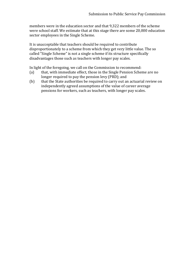members were in the education sector and that 9,322 members of the scheme were school staff. We estimate that at this stage there are some 20,000 education sector employees in the Single Scheme.

It is unacceptable that teachers should be required to contribute disproportionately to a scheme from which they get very little value. The so called "Single Scheme" is not a single scheme if its structure specifically disadvantages those such as teachers with longer pay scales.

In light of the foregoing, we call on the Commission to recommend:

- (a) that, with immediate effect, those in the Single Pension Scheme are no longer required to pay the pension levy (PRD); and
- (b) that the State authorities be required to carry out an actuarial review on independently agreed assumptions of the value of career average pensions for workers, such as teachers, with longer pay scales.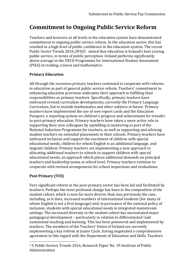## **Commitment to Ongoing Public Service Reform**

Teachers and lecturers at all levels in the education system have demonstrated commitment to ongoing public service reform. In the education sector, this has resulted in a high level of public confidence in the education system. The recent Public Sector Trends 2016 (IPA)5 stated that education is Ireland's best scoring public service, in terms of public perception. Ireland performs significantly above average in the OECD Programme for International Student Assessment (PISA) in reading, science and mathematics.

## **Primary Education**

All through the recession primary teachers continued to cooperate with reforms in education as part of general public service reform. Teachers' commitment to enhancing education provision underpins their approach to fulfilling their responsibilities as primary teachers. Specifically, primary teachers have embraced revised curriculum developments, currently the Primary Language Curriculum, but to include mathematics and other subjects in future. Primary teachers have implemented the use of new report cards and the Education Passport, a reporting system on children's progress and achievement for transfer to post-primary education. Primary teachers have taken a more active role in supporting their new colleagues by upskilling in mentoring as part of the National Induction Programme for teachers, as well as supporting and advising student teachers on extended placements in their schools. Primary teachers have embraced inclusion and support the enrolment of children with special educational needs, children for whom English is an additional language, and migrant children. Primary teachers are implementing a new approach to allocating additional teachers to schools to support children with special educational needs, an approach which places additional demands on principal teachers and leadership teams at school level. Primary teachers continue to cooperate with revised arrangements for school inspections and evaluations.

## **Post Primary (TUI)**

 $\overline{a}$ 

Very significant reform in the post-primary sector has been led and facilitated by teachers. Perhaps the most profound change has been in the composition of the student cohort, which is now far more diverse than was previously the case, including, as it does, increased numbers of international students (for many of whom English is not a first language) and, in pursuance of the national policy of inclusion, students with special educational needs in integrated mainstream settings. The increased diversity in the student cohort has necessitated major pedagogical development – particularly in relation to differentiated 3and customised teaching and learning. This has been pioneered and implemented by teachers. The members of the Teachers' Union of Ireland are currently implementing a key reform at Junior Cycle, having negotiated a comprehensive agreement in this regard with the Department of Education and Skills. Teachers

<sup>3</sup> 5 Public Sectors Trends 2016, Research Paper No. 19-Institute of Public Administration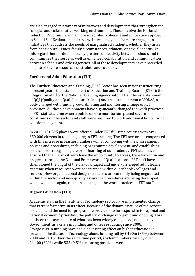are also engaged in a variety of initiatives and developments that strengthen the collegial and collaborative working environment. These involve the National Induction Programme and a more integrated, coherent and innovative approach to School Self Evaluation and review. Increasingly, teachers are engaged in initiatives that address the needs of marginalised students, whether they arise from behavioural issues, family circumstances, ethnicity or sexual identity. In this regard there is demonstrably greater connectivity between schools and the communities they serve as well as enhanced collaboration and communication between schools and other agencies. All of these developments have proceeded in spite of severe resource constraints and cutbacks.

## **Further and Adult Education (TUI)**

The Further Education and Training (FET) Sector has seen major restructuring in recent years; the establishment of Education and Training Boards (ETBs); the integration of FÁS (the National Training Agency into ETBs); the establishment of QQI (Quality and Qualifications Ireland) and the establishment of SOLAS, a body charged with funding, co-ordinating and monitoring a range of FET provision. All these developments have significantly changed the work practices of FET staff at a time when a public service moratorium placed severe constraints on the sector and staff were required to work additional hours for no additional payment.

In 2015, 131,805 places were offered under FET full-time courses with over 350,000 citizens in total engaging in FET training. The FET sector has cooperated with this increase in learner numbers whilst complying with new assessment policies and procedures, including programme development, and establishing protocols for recognising the prior learning of our students. FET staff have ensured that all Irish citizens have the opportunity to access, transfer within and progress through the National Framework of Qualifications. FET staff have championed the plight of the disadvantaged and under-privileged adult learner at a time when resources were constrained within our schools/colleges and centres. New organisational design structures are currently being negotiated within the sector and new quality assurance procedures are being developed which will, once again, result in a change in the work practices of FET staff.

## **Higher Education (TUI)**

Academic staff in the Institute of Technology sector have implemented change that is transformative in its effect. Because of the dynamic nature of the service provided and the need for programme provision to be responsive to regional and national economic priorities, the pattern of change is organic and ongoing. This has been the case in spite of what has been widely recognised, not least by Government, as a crisis in funding and other resourcing since 2008. Savage cuts in funding have had a devastating effect on higher education in Ireland. In Institutes of Technology alone, funding fell by €190m (35%) between 2008 and 2015. Over the same time period, student numbers rose by over 21,400 (32%) while 535 (9.5%) lecturing positions were lost.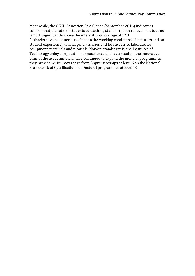Meanwhile, the OECD Education At A Glance (September 2016) indicators confirm that the ratio of students to teaching staff in Irish third level institutions is 20:1, significantly above the international average of 17:1. Cutbacks have had a serious effect on the working conditions of lecturers and on student experience, with larger class sizes and less access to laboratories, equipment, materials and tutorials. Notwithstanding this, the Institutes of Technology enjoy a reputation for excellence and, as a result of the innovative ethic of the academic staff, have continued to expand the menu of programmes they provide which now range from Apprenticeships at level 6 on the National Framework of Qualifications to Doctoral programmes at level 10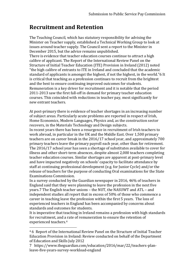## **Recruitment and Retention**

The Teaching Council, which has statutory responsibility for advising the Minister on Teacher supply, established a Technical Working Group to look at issues around teacher supply. The Council sent a report to the Minister in December 2015, but the advice remains unpublished.

There is evidence that teacher education courses continue to attract a high calibre of applicant. The Report of the International Review Panel on the Structure of Initial Teacher Education (ITE) Provision in Ireland (2012) noted "the high calibre of entrants to ITE in Ireland and concluded that the academic standard of applicants is amongst the highest, if not the highest, in the world."6 It is critical that teaching as a profession continues to recruit from the brightest and the best to ensure continuing improved outcomes for students. Remuneration is a key driver for recruitment and it is notable that the period 2011-2013 saw the first fall-off in demand for primary teacher education courses. This coincided with reductions in teacher pay, most significantly for new entrant teachers.

At post-primary there is evidence of teacher shortages in an increasing number of subject areas. Particularly acute problems are reported in respect of Irish, Home Economics, Modern Languages, Physics and, as the construction sector recovers, in the Materials Technology and Design subjects.

In recent years there has been a resurgence in recruitment of Irish teachers to work abroad, in particular in the UK and the Middle East. Over 1,500 primary teachers are on career break in the 2016/17 school year, and approximately 700 primary teachers leave the primary payroll each year, other than for retirement. The 2016/17 school year has seen a shortage of substitutes available to cover for illness and other short-term absences, despite almost 2,000 teachers completing teacher education courses. Similar shortages are apparent at post-primary level and have impacted negatively on schools' capacity to facilitate attendance by staff at continuing professional development (e.g. for Junior Cycle) and/or the release of teachers for the purpose of conducting Oral examinations for the State Examinations Commission.

In a survey conducted by the Guardian newspaper in 2016, 46% of teachers in England said that they were planning to leave the profession in the next five years.7 The English teacher unions – the NUT, the NASUWT and ATL – and independent studies all report that in excess of 50% of those who commence a career in teaching leave the profession within the first 5 years. The loss of experienced teachers in England has been accompanied by concerns about standards and outcomes for students.

It is imperative that teaching in Ireland remains a profession with high standards for recruitment, and a rate of remuneration to ensure the retention of experienced teachers.<sup>4</sup>

 $\overline{a}$ 

<sup>4</sup> 6 Report of the International Review Panel on the Structure of Initial Teacher Education Provision in Ireland: Review conducted on behalf of the Department of Education and Skills July 2012

<sup>7</sup> https://www.theguardian.com/education/2016/mar/22/teachers-planleave-five-years-survey-workload-england